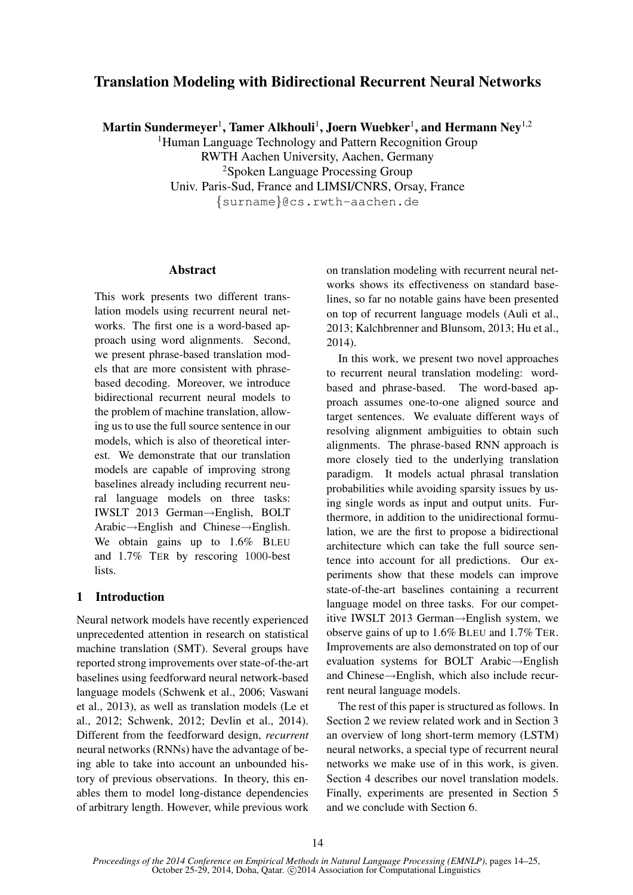# Translation Modeling with Bidirectional Recurrent Neural Networks

Martin Sundermeyer $^1$ , Tamer Alkhouli $^1$ , Joern Wuebker $^1$ , and Hermann Ney $^{1,2}$ 

<sup>1</sup>Human Language Technology and Pattern Recognition Group RWTH Aachen University, Aachen, Germany <sup>2</sup>Spoken Language Processing Group Univ. Paris-Sud, France and LIMSI/CNRS, Orsay, France {surname}@cs.rwth-aachen.de

## **Abstract**

This work presents two different translation models using recurrent neural networks. The first one is a word-based approach using word alignments. Second, we present phrase-based translation models that are more consistent with phrasebased decoding. Moreover, we introduce bidirectional recurrent neural models to the problem of machine translation, allowing us to use the full source sentence in our models, which is also of theoretical interest. We demonstrate that our translation models are capable of improving strong baselines already including recurrent neural language models on three tasks: IWSLT 2013 German→English, BOLT Arabic→English and Chinese→English. We obtain gains up to 1.6% BLEU and 1.7% TER by rescoring 1000-best lists.

# 1 Introduction

Neural network models have recently experienced unprecedented attention in research on statistical machine translation (SMT). Several groups have reported strong improvements over state-of-the-art baselines using feedforward neural network-based language models (Schwenk et al., 2006; Vaswani et al., 2013), as well as translation models (Le et al., 2012; Schwenk, 2012; Devlin et al., 2014). Different from the feedforward design, *recurrent* neural networks (RNNs) have the advantage of being able to take into account an unbounded history of previous observations. In theory, this enables them to model long-distance dependencies of arbitrary length. However, while previous work on translation modeling with recurrent neural networks shows its effectiveness on standard baselines, so far no notable gains have been presented on top of recurrent language models (Auli et al., 2013; Kalchbrenner and Blunsom, 2013; Hu et al., 2014).

In this work, we present two novel approaches to recurrent neural translation modeling: wordbased and phrase-based. The word-based approach assumes one-to-one aligned source and target sentences. We evaluate different ways of resolving alignment ambiguities to obtain such alignments. The phrase-based RNN approach is more closely tied to the underlying translation paradigm. It models actual phrasal translation probabilities while avoiding sparsity issues by using single words as input and output units. Furthermore, in addition to the unidirectional formulation, we are the first to propose a bidirectional architecture which can take the full source sentence into account for all predictions. Our experiments show that these models can improve state-of-the-art baselines containing a recurrent language model on three tasks. For our competitive IWSLT 2013 German→English system, we observe gains of up to 1.6% BLEU and 1.7% TER. Improvements are also demonstrated on top of our evaluation systems for BOLT Arabic→English and Chinese→English, which also include recurrent neural language models.

The rest of this paper is structured as follows. In Section 2 we review related work and in Section 3 an overview of long short-term memory (LSTM) neural networks, a special type of recurrent neural networks we make use of in this work, is given. Section 4 describes our novel translation models. Finally, experiments are presented in Section 5 and we conclude with Section 6.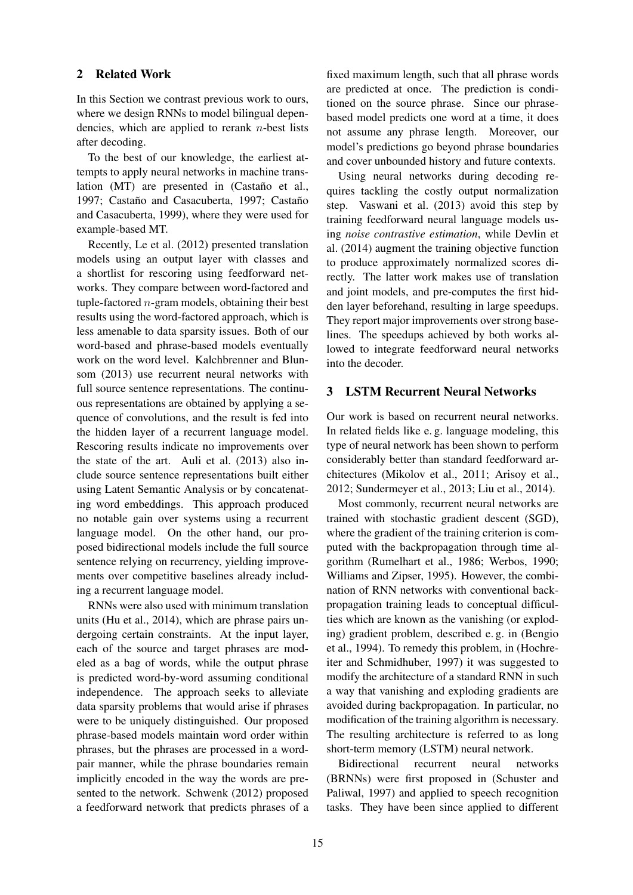# 2 Related Work

In this Section we contrast previous work to ours, where we design RNNs to model bilingual dependencies, which are applied to rerank  $n$ -best lists after decoding.

To the best of our knowledge, the earliest attempts to apply neural networks in machine translation  $(MT)$  are presented in  $(Castaño$  et al., 1997; Castaño and Casacuberta, 1997; Castaño and Casacuberta, 1999), where they were used for example-based MT.

Recently, Le et al. (2012) presented translation models using an output layer with classes and a shortlist for rescoring using feedforward networks. They compare between word-factored and tuple-factored  $n$ -gram models, obtaining their best results using the word-factored approach, which is less amenable to data sparsity issues. Both of our word-based and phrase-based models eventually work on the word level. Kalchbrenner and Blunsom (2013) use recurrent neural networks with full source sentence representations. The continuous representations are obtained by applying a sequence of convolutions, and the result is fed into the hidden layer of a recurrent language model. Rescoring results indicate no improvements over the state of the art. Auli et al. (2013) also include source sentence representations built either using Latent Semantic Analysis or by concatenating word embeddings. This approach produced no notable gain over systems using a recurrent language model. On the other hand, our proposed bidirectional models include the full source sentence relying on recurrency, yielding improvements over competitive baselines already including a recurrent language model.

RNNs were also used with minimum translation units (Hu et al., 2014), which are phrase pairs undergoing certain constraints. At the input layer, each of the source and target phrases are modeled as a bag of words, while the output phrase is predicted word-by-word assuming conditional independence. The approach seeks to alleviate data sparsity problems that would arise if phrases were to be uniquely distinguished. Our proposed phrase-based models maintain word order within phrases, but the phrases are processed in a wordpair manner, while the phrase boundaries remain implicitly encoded in the way the words are presented to the network. Schwenk (2012) proposed a feedforward network that predicts phrases of a

fixed maximum length, such that all phrase words are predicted at once. The prediction is conditioned on the source phrase. Since our phrasebased model predicts one word at a time, it does not assume any phrase length. Moreover, our model's predictions go beyond phrase boundaries and cover unbounded history and future contexts.

Using neural networks during decoding requires tackling the costly output normalization step. Vaswani et al. (2013) avoid this step by training feedforward neural language models using *noise contrastive estimation*, while Devlin et al. (2014) augment the training objective function to produce approximately normalized scores directly. The latter work makes use of translation and joint models, and pre-computes the first hidden layer beforehand, resulting in large speedups. They report major improvements over strong baselines. The speedups achieved by both works allowed to integrate feedforward neural networks into the decoder.

## 3 LSTM Recurrent Neural Networks

Our work is based on recurrent neural networks. In related fields like e. g. language modeling, this type of neural network has been shown to perform considerably better than standard feedforward architectures (Mikolov et al., 2011; Arisoy et al., 2012; Sundermeyer et al., 2013; Liu et al., 2014).

Most commonly, recurrent neural networks are trained with stochastic gradient descent (SGD), where the gradient of the training criterion is computed with the backpropagation through time algorithm (Rumelhart et al., 1986; Werbos, 1990; Williams and Zipser, 1995). However, the combination of RNN networks with conventional backpropagation training leads to conceptual difficulties which are known as the vanishing (or exploding) gradient problem, described e. g. in (Bengio et al., 1994). To remedy this problem, in (Hochreiter and Schmidhuber, 1997) it was suggested to modify the architecture of a standard RNN in such a way that vanishing and exploding gradients are avoided during backpropagation. In particular, no modification of the training algorithm is necessary. The resulting architecture is referred to as long short-term memory (LSTM) neural network.

Bidirectional recurrent neural networks (BRNNs) were first proposed in (Schuster and Paliwal, 1997) and applied to speech recognition tasks. They have been since applied to different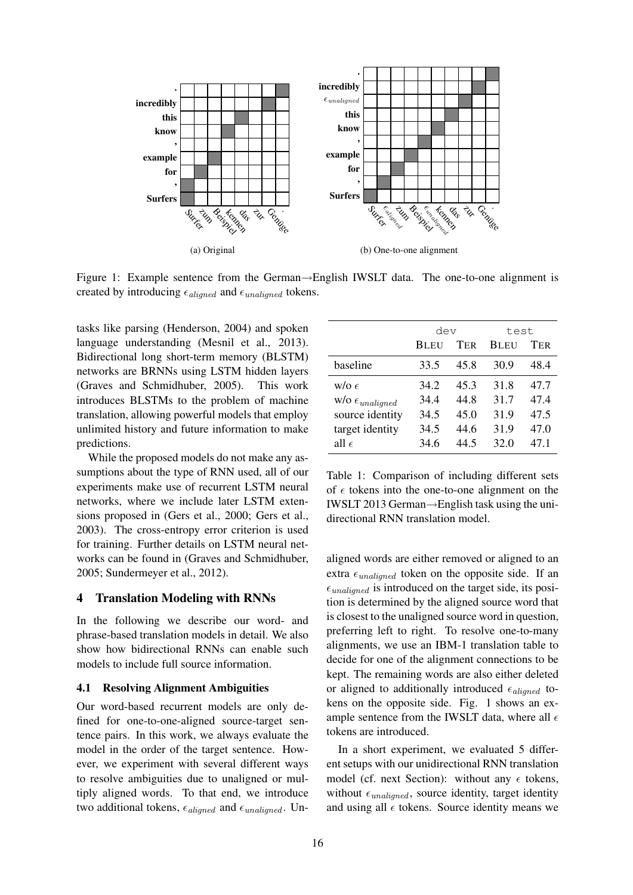

Figure 1: Example sentence from the German→English IWSLT data. The one-to-one alignment is created by introducing  $\epsilon_{\text{aligned}}$  and  $\epsilon_{\text{unaligned}}$  tokens.

tasks like parsing (Henderson, 2004) and spoken language understanding (Mesnil et al., 2013). Bidirectional long short-term memory (BLSTM) networks are BRNNs using LSTM hidden layers (Graves and Schmidhuber, 2005). This work introduces BLSTMs to the problem of machine translation, allowing powerful models that employ unlimited history and future information to make predictions.

While the proposed models do not make any assumptions about the type of RNN used, all of our experiments make use of recurrent LSTM neural networks, where we include later LSTM extensions proposed in (Gers et al., 2000; Gers et al., 2003). The cross-entropy error criterion is used for training. Further details on LSTM neural networks can be found in (Graves and Schmidhuber, 2005; Sundermeyer et al., 2012).

## 4 Translation Modeling with RNNs

In the following we describe our word- and phrase-based translation models in detail. We also show how bidirectional RNNs can enable such models to include full source information.

#### 4.1 Resolving Alignment Ambiguities

Our word-based recurrent models are only defined for one-to-one-aligned source-target sentence pairs. In this work, we always evaluate the model in the order of the target sentence. However, we experiment with several different ways to resolve ambiguities due to unaligned or multiply aligned words. To that end, we introduce two additional tokens,  $\epsilon_{\text{aligned}}$  and  $\epsilon_{\text{unaligned}}$ . Un-

|                                       | dev         |      | test        |            |  |
|---------------------------------------|-------------|------|-------------|------------|--|
|                                       | <b>BLEU</b> | TER  | <b>BLEU</b> | <b>TER</b> |  |
| baseline                              | 33.5        | 45.8 | 30.9        | 48.4       |  |
| $w/\sigma \in$                        | 34.2        | 45.3 | 31.8        | 47.7       |  |
| $W/O$ $\epsilon$ <sub>unaligned</sub> | 34.4        | 44.8 | 31.7        | 47.4       |  |
| source identity                       | 34.5        | 45.0 | 31.9        | 47.5       |  |
| target identity                       | 34.5        | 44.6 | 31.9        | 47.0       |  |
| all $\epsilon$                        | 34.6        | 44.5 | 32.0        | 47.1       |  |

Table 1: Comparison of including different sets of  $\epsilon$  tokens into the one-to-one alignment on the IWSLT 2013 German→English task using the unidirectional RNN translation model.

aligned words are either removed or aligned to an extra  $\epsilon_{unaligned}$  token on the opposite side. If an  $\epsilon_{unaligned}$  is introduced on the target side, its position is determined by the aligned source word that is closest to the unaligned source word in question, preferring left to right. To resolve one-to-many alignments, we use an IBM-1 translation table to decide for one of the alignment connections to be kept. The remaining words are also either deleted or aligned to additionally introduced  $\epsilon_{aligned}$  tokens on the opposite side. Fig. 1 shows an example sentence from the IWSLT data, where all  $\epsilon$ tokens are introduced.

In a short experiment, we evaluated 5 different setups with our unidirectional RNN translation model (cf. next Section): without any  $\epsilon$  tokens, without  $\epsilon_{unaligned}$ , source identity, target identity and using all  $\epsilon$  tokens. Source identity means we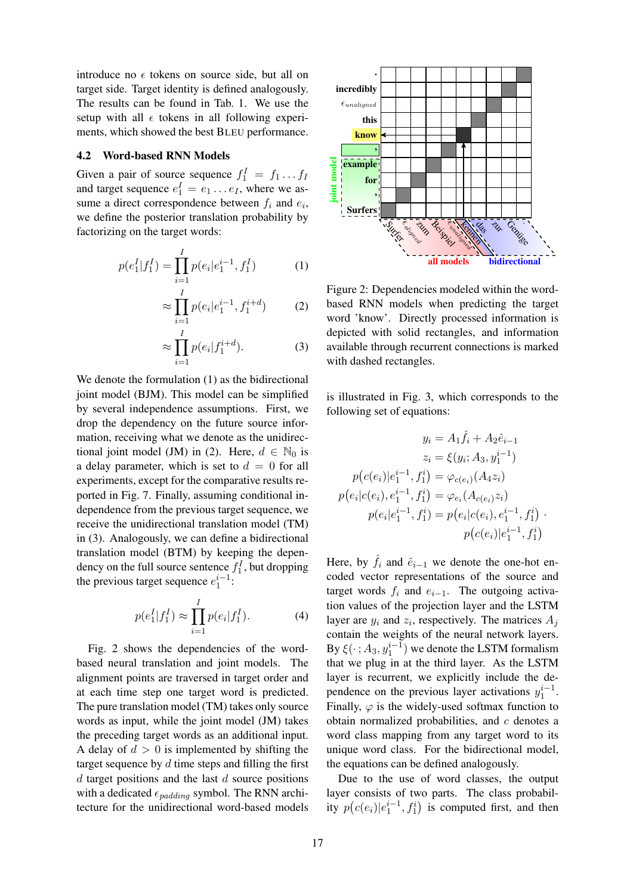introduce no  $\epsilon$  tokens on source side, but all on target side. Target identity is defined analogously. The results can be found in Tab. 1. We use the setup with all  $\epsilon$  tokens in all following experiments, which showed the best BLEU performance.

## 4.2 Word-based RNN Models

Given a pair of source sequence  $f_1^I = f_1 \dots f_I$ and target sequence  $e_1^I = e_1 \dots e_I$ , where we assume a direct correspondence between  $f_i$  and  $e_i$ , we define the posterior translation probability by factorizing on the target words:

$$
p(e_1^I|f_1^I) = \prod_{i=1}^I p(e_i|e_1^{i-1}, f_1^I)
$$
 (1)

$$
\approx \prod_{i=1}^{I} p(e_i|e_1^{i-1}, f_1^{i+d}) \tag{2}
$$

$$
\approx \prod_{i=1}^{I} p(e_i|f_1^{i+d}).\tag{3}
$$

We denote the formulation (1) as the bidirectional joint model (BJM). This model can be simplified by several independence assumptions. First, we drop the dependency on the future source information, receiving what we denote as the unidirectional joint model (JM) in (2). Here,  $d \in \mathbb{N}_0$  is a delay parameter, which is set to  $d = 0$  for all experiments, except for the comparative results reported in Fig. 7. Finally, assuming conditional independence from the previous target sequence, we receive the unidirectional translation model (TM) in (3). Analogously, we can define a bidirectional translation model (BTM) by keeping the dependency on the full source sentence  $f_1^I$ , but dropping the previous target sequence  $e_1^{i-1}$ :

$$
p(e_1^I | f_1^I) \approx \prod_{i=1}^I p(e_i | f_1^I).
$$
 (4)

Fig. 2 shows the dependencies of the wordbased neural translation and joint models. The alignment points are traversed in target order and at each time step one target word is predicted. The pure translation model (TM) takes only source words as input, while the joint model (JM) takes the preceding target words as an additional input. A delay of  $d > 0$  is implemented by shifting the target sequence by  $d$  time steps and filling the first  $d$  target positions and the last  $d$  source positions with a dedicated  $\epsilon_{padding}$  symbol. The RNN architecture for the unidirectional word-based models



Figure 2: Dependencies modeled within the wordbased RNN models when predicting the target word 'know'. Directly processed information is depicted with solid rectangles, and information available through recurrent connections is marked with dashed rectangles.

is illustrated in Fig. 3, which corresponds to the following set of equations:

$$
y_i = A_1 \hat{f}_i + A_2 \hat{e}_{i-1}
$$
  
\n
$$
z_i = \xi(y_i; A_3, y_1^{i-1})
$$
  
\n
$$
p(c(e_i)|e_1^{i-1}, f_1^i) = \varphi_{c(e_i)}(A_4 z_i)
$$
  
\n
$$
p(e_i|c(e_i), e_1^{i-1}, f_1^i) = \varphi_{e_i}(A_{c(e_i)} z_i)
$$
  
\n
$$
p(e_i|e_1^{i-1}, f_1^i) = p(e_i|c(e_i), e_1^{i-1}, f_1^i)
$$
  
\n
$$
p(c(e_i)|e_1^{i-1}, f_1^i)
$$

Here, by  $\hat{f}_i$  and  $\hat{e}_{i-1}$  we denote the one-hot encoded vector representations of the source and target words  $f_i$  and  $e_{i-1}$ . The outgoing activation values of the projection layer and the LSTM layer are  $y_i$  and  $z_i$ , respectively. The matrices  $A_j$ contain the weights of the neural network layers. By  $\xi(\cdot; A_3, y_1^{i-1})$  we denote the LSTM formalism that we plug in at the third layer. As the LSTM layer is recurrent, we explicitly include the dependence on the previous layer activations  $y_1^{i-1}$ . Finally,  $\varphi$  is the widely-used softmax function to obtain normalized probabilities, and  $c$  denotes a word class mapping from any target word to its unique word class. For the bidirectional model, the equations can be defined analogously.

Due to the use of word classes, the output layer consists of two parts. The class probability  $p\left(c(e_i)|e_1^{i-1}, f_1^i\right)$  is computed first, and then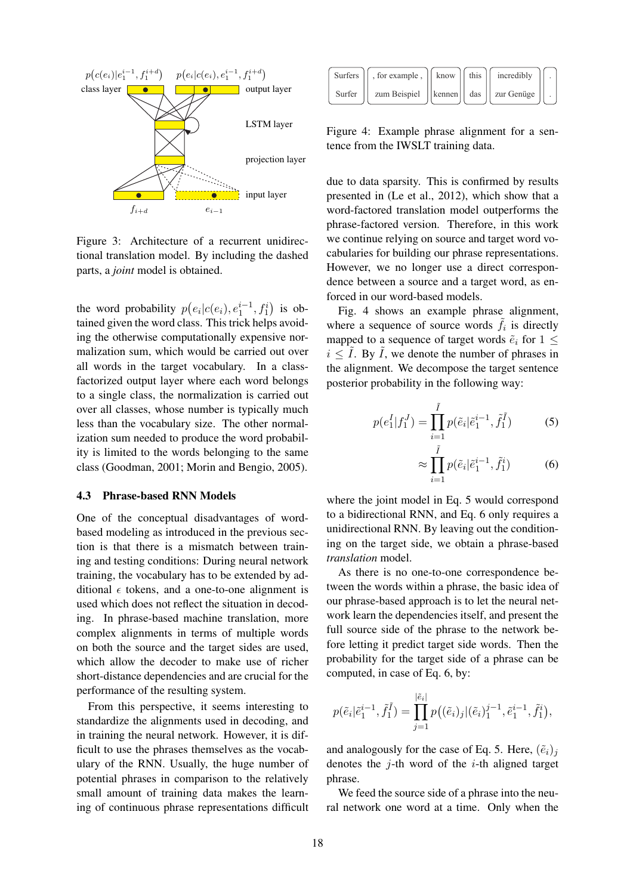

Figure 3: Architecture of a recurrent unidirectional translation model. By including the dashed parts, a *joint* model is obtained.

the word probability  $p(e_i|c(e_i), e_1^{i-1}, f_1^i)$  is obtained given the word class. This trick helps avoiding the otherwise computationally expensive normalization sum, which would be carried out over all words in the target vocabulary. In a classfactorized output layer where each word belongs to a single class, the normalization is carried out over all classes, whose number is typically much less than the vocabulary size. The other normalization sum needed to produce the word probability is limited to the words belonging to the same class (Goodman, 2001; Morin and Bengio, 2005).

#### 4.3 Phrase-based RNN Models

One of the conceptual disadvantages of wordbased modeling as introduced in the previous section is that there is a mismatch between training and testing conditions: During neural network training, the vocabulary has to be extended by additional  $\epsilon$  tokens, and a one-to-one alignment is used which does not reflect the situation in decoding. In phrase-based machine translation, more complex alignments in terms of multiple words on both the source and the target sides are used, which allow the decoder to make use of richer short-distance dependencies and are crucial for the performance of the resulting system.

From this perspective, it seems interesting to standardize the alignments used in decoding, and in training the neural network. However, it is difficult to use the phrases themselves as the vocabulary of the RNN. Usually, the huge number of potential phrases in comparison to the relatively small amount of training data makes the learning of continuous phrase representations difficult

| Surfers | , for example,    know                      | $\parallel$ this | incredibly |  |
|---------|---------------------------------------------|------------------|------------|--|
| Surfer  | zum Beispiel    kennen    das    zur Genüge |                  |            |  |

Figure 4: Example phrase alignment for a sentence from the IWSLT training data.

due to data sparsity. This is confirmed by results presented in (Le et al., 2012), which show that a word-factored translation model outperforms the phrase-factored version. Therefore, in this work we continue relying on source and target word vocabularies for building our phrase representations. However, we no longer use a direct correspondence between a source and a target word, as enforced in our word-based models.

Fig. 4 shows an example phrase alignment, where a sequence of source words  $\tilde{f}_i$  is directly mapped to a sequence of target words  $\tilde{e}_i$  for  $1 \leq$  $i \leq \tilde{I}$ . By  $\tilde{I}$ , we denote the number of phrases in the alignment. We decompose the target sentence posterior probability in the following way:

$$
p(e_1^I|f_1^J) = \prod_{i=1}^{\tilde{I}} p(\tilde{e}_i|\tilde{e}_1^{i-1}, \tilde{f}_1^{\tilde{I}})
$$
 (5)

$$
\approx \prod_{i=1}^{I} p(\tilde{e}_i | \tilde{e}_1^{i-1}, \tilde{f}_1^i) \tag{6}
$$

where the joint model in Eq. 5 would correspond to a bidirectional RNN, and Eq. 6 only requires a unidirectional RNN. By leaving out the conditioning on the target side, we obtain a phrase-based *translation* model.

As there is no one-to-one correspondence between the words within a phrase, the basic idea of our phrase-based approach is to let the neural network learn the dependencies itself, and present the full source side of the phrase to the network before letting it predict target side words. Then the probability for the target side of a phrase can be computed, in case of Eq. 6, by:

$$
p(\tilde{e}_i|\tilde{e}_1^{i-1}, \tilde{f}_1^{\tilde{I}}) = \prod_{j=1}^{|\tilde{e}_i|} p((\tilde{e}_i)_j|(\tilde{e}_i)_1^{j-1}, \tilde{e}_1^{i-1}, \tilde{f}_1^i),
$$

and analogously for the case of Eq. 5. Here,  $(\tilde{e}_i)_j$ denotes the  $i$ -th word of the  $i$ -th aligned target phrase.

We feed the source side of a phrase into the neural network one word at a time. Only when the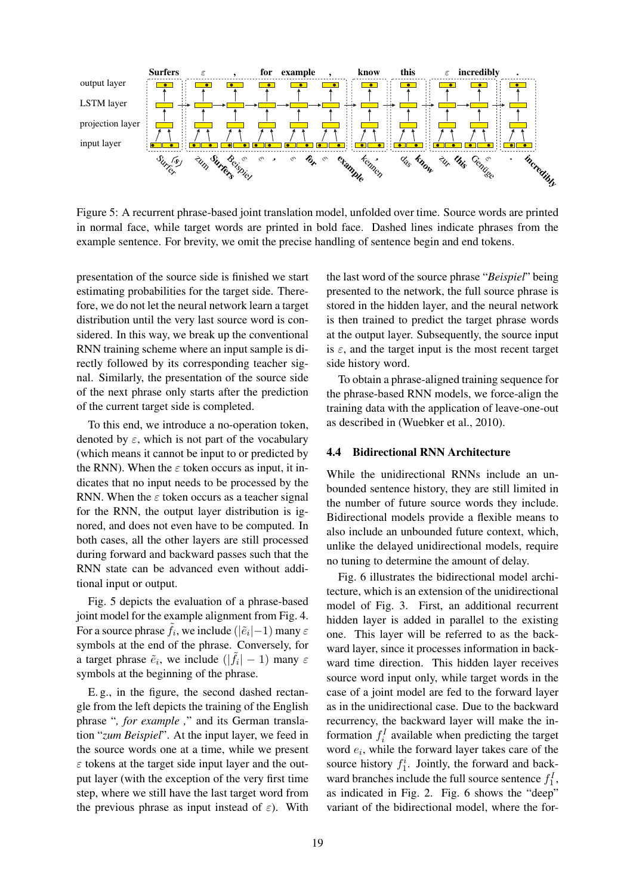

Figure 5: A recurrent phrase-based joint translation model, unfolded over time. Source words are printed in normal face, while target words are printed in bold face. Dashed lines indicate phrases from the example sentence. For brevity, we omit the precise handling of sentence begin and end tokens.

presentation of the source side is finished we start estimating probabilities for the target side. Therefore, we do not let the neural network learn a target distribution until the very last source word is considered. In this way, we break up the conventional RNN training scheme where an input sample is directly followed by its corresponding teacher signal. Similarly, the presentation of the source side of the next phrase only starts after the prediction of the current target side is completed.

To this end, we introduce a no-operation token, denoted by  $\varepsilon$ , which is not part of the vocabulary (which means it cannot be input to or predicted by the RNN). When the  $\varepsilon$  token occurs as input, it indicates that no input needs to be processed by the RNN. When the  $\varepsilon$  token occurs as a teacher signal for the RNN, the output layer distribution is ignored, and does not even have to be computed. In both cases, all the other layers are still processed during forward and backward passes such that the RNN state can be advanced even without additional input or output.

Fig. 5 depicts the evaluation of a phrase-based joint model for the example alignment from Fig. 4. For a source phrase  $\tilde{f}_i$ , we include  $(|\tilde{e}_i| - 1)$  many  $\varepsilon$ symbols at the end of the phrase. Conversely, for a target phrase  $\tilde{e}_i$ , we include  $(|\tilde{f}_i| - 1)$  many  $\varepsilon$ symbols at the beginning of the phrase.

E. g., in the figure, the second dashed rectangle from the left depicts the training of the English phrase "*, for example ,*" and its German translation "*zum Beispiel*". At the input layer, we feed in the source words one at a time, while we present  $\varepsilon$  tokens at the target side input layer and the output layer (with the exception of the very first time step, where we still have the last target word from the previous phrase as input instead of  $\varepsilon$ ). With

the last word of the source phrase "*Beispiel*" being presented to the network, the full source phrase is stored in the hidden layer, and the neural network is then trained to predict the target phrase words at the output layer. Subsequently, the source input is  $\varepsilon$ , and the target input is the most recent target side history word.

To obtain a phrase-aligned training sequence for the phrase-based RNN models, we force-align the training data with the application of leave-one-out as described in (Wuebker et al., 2010).

### 4.4 Bidirectional RNN Architecture

While the unidirectional RNNs include an unbounded sentence history, they are still limited in the number of future source words they include. Bidirectional models provide a flexible means to also include an unbounded future context, which, unlike the delayed unidirectional models, require no tuning to determine the amount of delay.

Fig. 6 illustrates the bidirectional model architecture, which is an extension of the unidirectional model of Fig. 3. First, an additional recurrent hidden layer is added in parallel to the existing one. This layer will be referred to as the backward layer, since it processes information in backward time direction. This hidden layer receives source word input only, while target words in the case of a joint model are fed to the forward layer as in the unidirectional case. Due to the backward recurrency, the backward layer will make the information  $f_i^I$  available when predicting the target word  $e_i$ , while the forward layer takes care of the source history  $f_1^i$ . Jointly, the forward and backward branches include the full source sentence  $f_1^I$ , as indicated in Fig. 2. Fig. 6 shows the "deep" variant of the bidirectional model, where the for-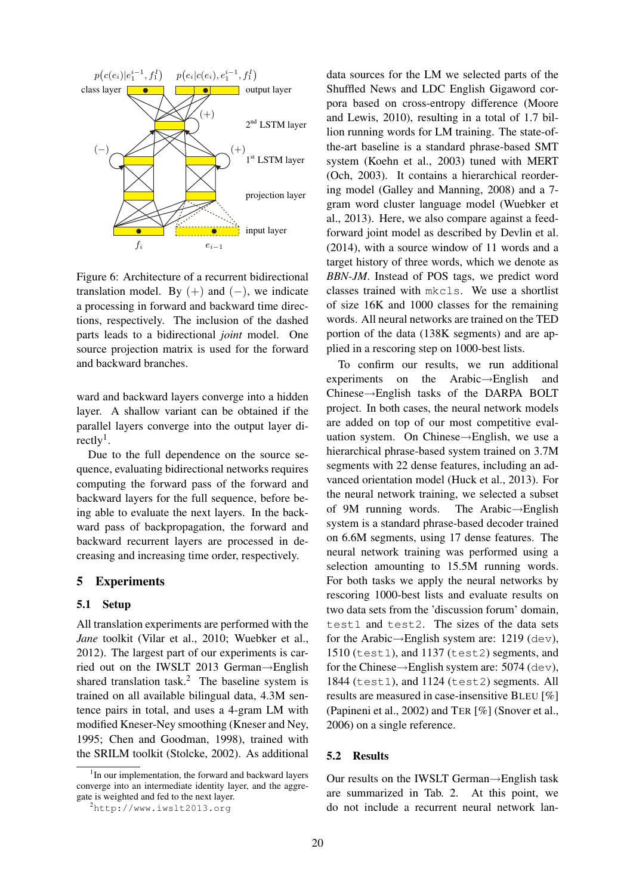

Figure 6: Architecture of a recurrent bidirectional translation model. By  $(+)$  and  $(-)$ , we indicate a processing in forward and backward time directions, respectively. The inclusion of the dashed parts leads to a bidirectional *joint* model. One source projection matrix is used for the forward and backward branches.

ward and backward layers converge into a hidden layer. A shallow variant can be obtained if the parallel layers converge into the output layer directly<sup>1</sup>.

Due to the full dependence on the source sequence, evaluating bidirectional networks requires computing the forward pass of the forward and backward layers for the full sequence, before being able to evaluate the next layers. In the backward pass of backpropagation, the forward and backward recurrent layers are processed in decreasing and increasing time order, respectively.

## 5 Experiments

#### 5.1 Setup

All translation experiments are performed with the *Jane* toolkit (Vilar et al., 2010; Wuebker et al., 2012). The largest part of our experiments is carried out on the IWSLT 2013 German→English shared translation task.<sup>2</sup> The baseline system is trained on all available bilingual data, 4.3M sentence pairs in total, and uses a 4-gram LM with modified Kneser-Ney smoothing (Kneser and Ney, 1995; Chen and Goodman, 1998), trained with the SRILM toolkit (Stolcke, 2002). As additional

data sources for the LM we selected parts of the Shuffled News and LDC English Gigaword corpora based on cross-entropy difference (Moore and Lewis, 2010), resulting in a total of 1.7 billion running words for LM training. The state-ofthe-art baseline is a standard phrase-based SMT system (Koehn et al., 2003) tuned with MERT (Och, 2003). It contains a hierarchical reordering model (Galley and Manning, 2008) and a 7 gram word cluster language model (Wuebker et al., 2013). Here, we also compare against a feedforward joint model as described by Devlin et al. (2014), with a source window of 11 words and a target history of three words, which we denote as *BBN-JM*. Instead of POS tags, we predict word classes trained with mkcls. We use a shortlist of size 16K and 1000 classes for the remaining words. All neural networks are trained on the TED portion of the data (138K segments) and are applied in a rescoring step on 1000-best lists.

To confirm our results, we run additional experiments on the Arabic→English and Chinese→English tasks of the DARPA BOLT project. In both cases, the neural network models are added on top of our most competitive evaluation system. On Chinese→English, we use a hierarchical phrase-based system trained on 3.7M segments with 22 dense features, including an advanced orientation model (Huck et al., 2013). For the neural network training, we selected a subset of 9M running words. The Arabic→English system is a standard phrase-based decoder trained on 6.6M segments, using 17 dense features. The neural network training was performed using a selection amounting to 15.5M running words. For both tasks we apply the neural networks by rescoring 1000-best lists and evaluate results on two data sets from the 'discussion forum' domain, test1 and test2. The sizes of the data sets for the Arabic $\rightarrow$ English system are: 1219 (dev), 1510 (test1), and 1137 (test2) segments, and for the Chinese→English system are: 5074 (dev), 1844 (test1), and 1124 (test2) segments. All results are measured in case-insensitive BLEU [%] (Papineni et al., 2002) and TER [%] (Snover et al., 2006) on a single reference.

#### 5.2 Results

Our results on the IWSLT German→English task are summarized in Tab. 2. At this point, we do not include a recurrent neural network lan-

<sup>&</sup>lt;sup>1</sup>In our implementation, the forward and backward layers converge into an intermediate identity layer, and the aggregate is weighted and fed to the next layer.

<sup>2</sup>http://www.iwslt2013.org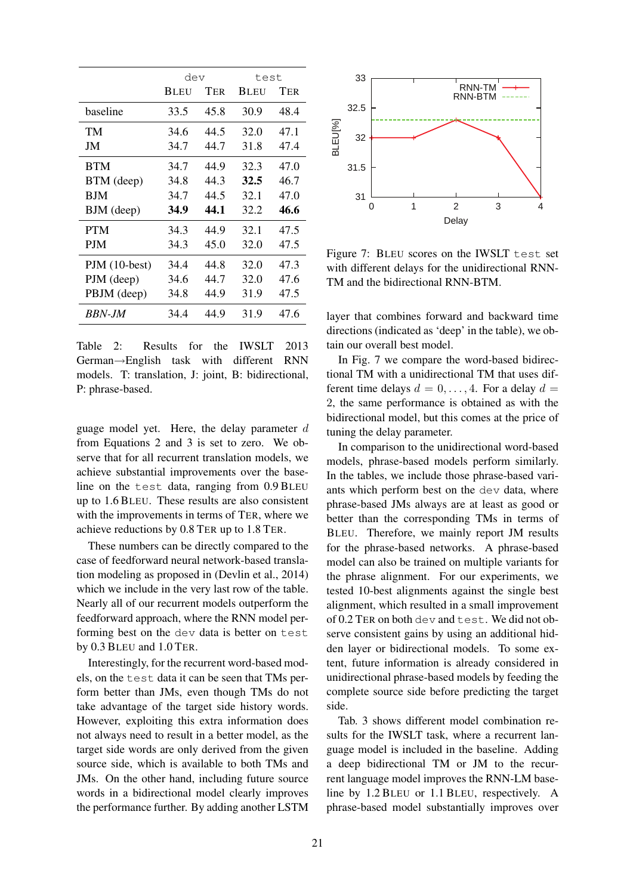|                | dev         |      | test        |      |
|----------------|-------------|------|-------------|------|
|                | <b>BLEU</b> | Ter  | <b>BLEU</b> | TER  |
| baseline       | 33.5        | 45.8 | 30.9        | 48.4 |
| TM             | 34.6        | 44.5 | 32.0        | 47.1 |
| JM             | 34.7        | 44.7 | 31.8        | 47.4 |
| <b>BTM</b>     | 34.7        | 44.9 | 32.3        | 47.0 |
| BTM (deep)     | 34.8        | 44.3 | 32.5        | 46.7 |
| BJM            | 34.7        | 44.5 | 32.1        | 47.0 |
| BJM (deep)     | 34.9        | 44.1 | 32.2        | 46.6 |
| <b>PTM</b>     | 34.3        | 44.9 | 32.1        | 47.5 |
| <b>PJM</b>     | 34.3        | 45.0 | 32.0        | 47.5 |
| $PJM(10-best)$ | 34.4        | 44.8 | 32.0        | 47.3 |
| PJM (deep)     | 34.6        | 44.7 | 32.0        | 47.6 |
| PBJM (deep)    | 34.8        | 44.9 | 31.9        | 47.5 |
| BBN-JM         | 34.4        | 44.9 | 31.9        | 47.6 |

Table 2: Results for the IWSLT 2013 German→English task with different RNN models. T: translation, J: joint, B: bidirectional, P: phrase-based.

guage model yet. Here, the delay parameter  $d$ from Equations 2 and 3 is set to zero. We observe that for all recurrent translation models, we achieve substantial improvements over the baseline on the test data, ranging from 0.9 BLEU up to 1.6 BLEU. These results are also consistent with the improvements in terms of TER, where we achieve reductions by 0.8 TER up to 1.8 TER.

These numbers can be directly compared to the case of feedforward neural network-based translation modeling as proposed in (Devlin et al., 2014) which we include in the very last row of the table. Nearly all of our recurrent models outperform the feedforward approach, where the RNN model performing best on the dev data is better on test by 0.3 BLEU and 1.0 TER.

Interestingly, for the recurrent word-based models, on the test data it can be seen that TMs perform better than JMs, even though TMs do not take advantage of the target side history words. However, exploiting this extra information does not always need to result in a better model, as the target side words are only derived from the given source side, which is available to both TMs and JMs. On the other hand, including future source words in a bidirectional model clearly improves the performance further. By adding another LSTM



Figure 7: BLEU scores on the IWSLT test set with different delays for the unidirectional RNN-TM and the bidirectional RNN-BTM.

layer that combines forward and backward time directions (indicated as 'deep' in the table), we obtain our overall best model.

In Fig. 7 we compare the word-based bidirectional TM with a unidirectional TM that uses different time delays  $d = 0, \ldots, 4$ . For a delay  $d =$ 2, the same performance is obtained as with the bidirectional model, but this comes at the price of tuning the delay parameter.

In comparison to the unidirectional word-based models, phrase-based models perform similarly. In the tables, we include those phrase-based variants which perform best on the dev data, where phrase-based JMs always are at least as good or better than the corresponding TMs in terms of BLEU. Therefore, we mainly report JM results for the phrase-based networks. A phrase-based model can also be trained on multiple variants for the phrase alignment. For our experiments, we tested 10-best alignments against the single best alignment, which resulted in a small improvement of 0.2 TER on both dev and test. We did not observe consistent gains by using an additional hidden layer or bidirectional models. To some extent, future information is already considered in unidirectional phrase-based models by feeding the complete source side before predicting the target side.

Tab. 3 shows different model combination results for the IWSLT task, where a recurrent language model is included in the baseline. Adding a deep bidirectional TM or JM to the recurrent language model improves the RNN-LM baseline by 1.2 BLEU or 1.1 BLEU, respectively. A phrase-based model substantially improves over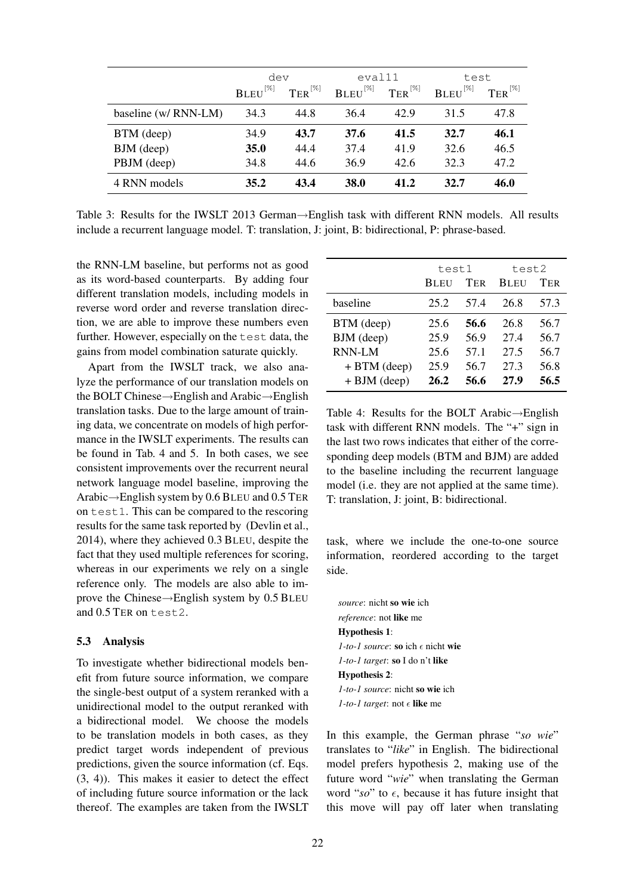|                      | dev                 |              | eval11        |              | test         |                                 |
|----------------------|---------------------|--------------|---------------|--------------|--------------|---------------------------------|
|                      | ${\bf BLEU}^{[\%]}$ | $TER^{[\%]}$ | $BLEU^{[\%]}$ | $TER^{[\%]}$ | $BLEU^{[%]}$ | $\text{TER}^{\left[\% \right]}$ |
| baseline (w/ RNN-LM) | 34.3                | 44.8         | 36.4          | 42.9         | 31.5         | 47.8                            |
| BTM (deep)           | 34.9                | 43.7         | 37.6          | 41.5         | 32.7         | 46.1                            |
| BJM (deep)           | <b>35.0</b>         | 44.4         | 37.4          | 41.9         | 32.6         | 46.5                            |
| PBJM (deep)          | 34.8                | 44.6         | 36.9          | 42.6         | 32.3         | 47.2                            |
| 4 RNN models         | 35.2                | 43.4         | 38.0          | 41.2         | 32.7         | 46.0                            |

Table 3: Results for the IWSLT 2013 German→English task with different RNN models. All results include a recurrent language model. T: translation, J: joint, B: bidirectional, P: phrase-based.

the RNN-LM baseline, but performs not as good as its word-based counterparts. By adding four different translation models, including models in reverse word order and reverse translation direction, we are able to improve these numbers even further. However, especially on the test data, the gains from model combination saturate quickly.

Apart from the IWSLT track, we also analyze the performance of our translation models on the BOLT Chinese→English and Arabic→English translation tasks. Due to the large amount of training data, we concentrate on models of high performance in the IWSLT experiments. The results can be found in Tab. 4 and 5. In both cases, we see consistent improvements over the recurrent neural network language model baseline, improving the Arabic→English system by 0.6 BLEU and 0.5 TER on test1. This can be compared to the rescoring results for the same task reported by (Devlin et al., 2014), where they achieved 0.3 BLEU, despite the fact that they used multiple references for scoring, whereas in our experiments we rely on a single reference only. The models are also able to improve the Chinese→English system by 0.5 BLEU and 0.5 TER on test2.

## 5.3 Analysis

To investigate whether bidirectional models benefit from future source information, we compare the single-best output of a system reranked with a unidirectional model to the output reranked with a bidirectional model. We choose the models to be translation models in both cases, as they predict target words independent of previous predictions, given the source information (cf. Eqs. (3, 4)). This makes it easier to detect the effect of including future source information or the lack thereof. The examples are taken from the IWSLT

|                | test1       |      | test2       |            |
|----------------|-------------|------|-------------|------------|
|                | <b>BLEU</b> | TER  | <b>BLEU</b> | <b>TER</b> |
| baseline       | 25.2        | 57.4 | 26.8        | 57.3       |
| BTM (deep)     | 25.6        | 56.6 | 26.8        | 56.7       |
| BJM (deep)     | 25.9        | 56.9 | 27.4        | 56.7       |
| <b>RNN-LM</b>  | 25.6        | 57.1 | 27.5        | 56.7       |
| $+ BTM$ (deep) | 25.9        | 56.7 | 27.3        | 56.8       |
| $+ BJM$ (deep) | 26.2        | 56.6 | 27.9        | 56.5       |

Table 4: Results for the BOLT Arabic→English task with different RNN models. The "+" sign in the last two rows indicates that either of the corresponding deep models (BTM and BJM) are added to the baseline including the recurrent language model (i.e. they are not applied at the same time). T: translation, J: joint, B: bidirectional.

task, where we include the one-to-one source information, reordered according to the target side.

*source*: nicht so wie ich *reference*: not like me Hypothesis 1:  $1$ -to-1 source: so ich  $\epsilon$  nicht wie *1-to-1 target*: so I do n't like Hypothesis 2: *1-to-1 source*: nicht so wie ich  $1$ -to-1 target: not  $\epsilon$  like me

In this example, the German phrase "*so wie*" translates to "*like*" in English. The bidirectional model prefers hypothesis 2, making use of the future word "*wie*" when translating the German word " $so$ " to  $\epsilon$ , because it has future insight that this move will pay off later when translating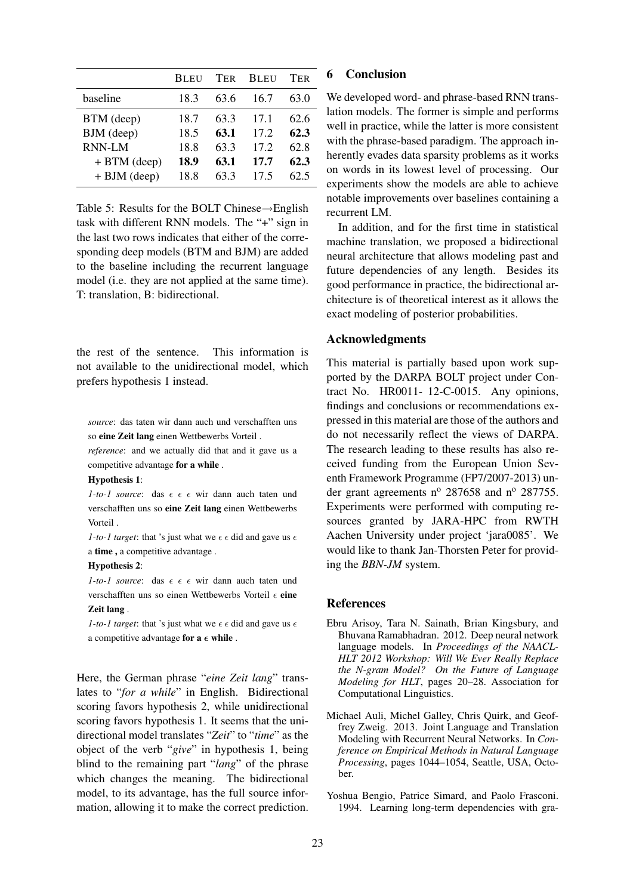|                | <b>BLEU</b> | <b>TER</b> | <b>BLEU</b>     | TER  |
|----------------|-------------|------------|-----------------|------|
| baseline       | 18.3        | 63.6       | 16.7            | 63.0 |
| BTM (deep)     | 18.7        | 63.3       | 17.1            | 62.6 |
| BJM (deep)     | 18.5        | 63.1       | 17.2            | 62.3 |
| <b>RNN-LM</b>  | 18.8        | 63.3       | 17.2            | 62.8 |
| $+ BTM$ (deep) | 18.9        | 63.1       | 17.7            | 62.3 |
| $+ BJM$ (deep) | 18.8        | 63.3       | 17 <sub>5</sub> | 62.5 |

Table 5: Results for the BOLT Chinese→English task with different RNN models. The "+" sign in the last two rows indicates that either of the corresponding deep models (BTM and BJM) are added to the baseline including the recurrent language model (i.e. they are not applied at the same time). T: translation, B: bidirectional.

the rest of the sentence. This information is not available to the unidirectional model, which prefers hypothesis 1 instead.

*source*: das taten wir dann auch und verschafften uns so eine Zeit lang einen Wettbewerbs Vorteil .

*reference*: and we actually did that and it gave us a competitive advantage for a while .

#### Hypothesis 1:

 $1$ -to-1 source: das  $\epsilon \in \epsilon$  wir dann auch taten und verschafften uns so eine Zeit lang einen Wettbewerbs Vorteil .

*1-to-1 target*: that 's just what we  $\epsilon \epsilon$  did and gave us  $\epsilon$ a time , a competitive advantage .

#### Hypothesis 2:

*1-to-1 source*: das  $\epsilon \in \epsilon$  wir dann auch taten und verschafften uns so einen Wettbewerbs Vorteil  $\epsilon$  eine Zeit lang .

*1-to-1 target*: that 's just what we  $\epsilon \epsilon$  did and gave us  $\epsilon$ a competitive advantage for  $a \in \text{while}$ .

Here, the German phrase "*eine Zeit lang*" translates to "*for a while*" in English. Bidirectional scoring favors hypothesis 2, while unidirectional scoring favors hypothesis 1. It seems that the unidirectional model translates "*Zeit*" to "*time*" as the object of the verb "*give*" in hypothesis 1, being blind to the remaining part "*lang*" of the phrase which changes the meaning. The bidirectional model, to its advantage, has the full source information, allowing it to make the correct prediction.

# 6 Conclusion

We developed word- and phrase-based RNN translation models. The former is simple and performs well in practice, while the latter is more consistent with the phrase-based paradigm. The approach inherently evades data sparsity problems as it works on words in its lowest level of processing. Our experiments show the models are able to achieve notable improvements over baselines containing a recurrent LM.

In addition, and for the first time in statistical machine translation, we proposed a bidirectional neural architecture that allows modeling past and future dependencies of any length. Besides its good performance in practice, the bidirectional architecture is of theoretical interest as it allows the exact modeling of posterior probabilities.

## Acknowledgments

This material is partially based upon work supported by the DARPA BOLT project under Contract No. HR0011- 12-C-0015. Any opinions, findings and conclusions or recommendations expressed in this material are those of the authors and do not necessarily reflect the views of DARPA. The research leading to these results has also received funding from the European Union Seventh Framework Programme (FP7/2007-2013) under grant agreements  $n^{\circ}$  287658 and  $n^{\circ}$  287755. Experiments were performed with computing resources granted by JARA-HPC from RWTH Aachen University under project 'jara0085'. We would like to thank Jan-Thorsten Peter for providing the *BBN-JM* system.

## References

- Ebru Arisoy, Tara N. Sainath, Brian Kingsbury, and Bhuvana Ramabhadran. 2012. Deep neural network language models. In *Proceedings of the NAACL-HLT 2012 Workshop: Will We Ever Really Replace the N-gram Model? On the Future of Language Modeling for HLT*, pages 20–28. Association for Computational Linguistics.
- Michael Auli, Michel Galley, Chris Quirk, and Geoffrey Zweig. 2013. Joint Language and Translation Modeling with Recurrent Neural Networks. In *Conference on Empirical Methods in Natural Language Processing*, pages 1044–1054, Seattle, USA, October.
- Yoshua Bengio, Patrice Simard, and Paolo Frasconi. 1994. Learning long-term dependencies with gra-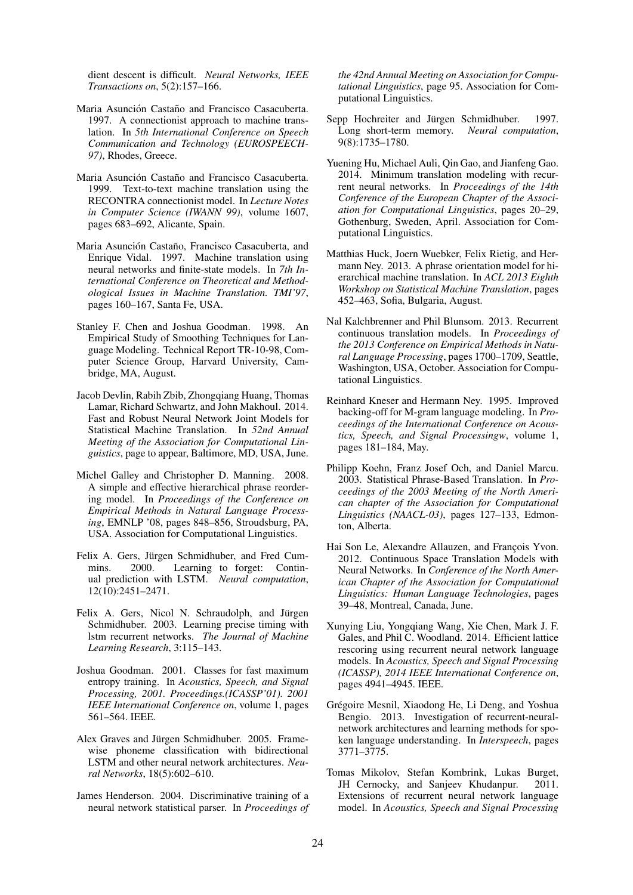dient descent is difficult. *Neural Networks, IEEE Transactions on*, 5(2):157–166.

- Maria Asunción Castaño and Francisco Casacuberta. 1997. A connectionist approach to machine translation. In *5th International Conference on Speech Communication and Technology (EUROSPEECH-97)*, Rhodes, Greece.
- Maria Asunción Castaño and Francisco Casacuberta. 1999. Text-to-text machine translation using the RECONTRA connectionist model. In *Lecture Notes in Computer Science (IWANN 99)*, volume 1607, pages 683–692, Alicante, Spain.
- Maria Asunción Castaño, Francisco Casacuberta, and Enrique Vidal. 1997. Machine translation using neural networks and finite-state models. In *7th International Conference on Theoretical and Methodological Issues in Machine Translation. TMI'97*, pages 160–167, Santa Fe, USA.
- Stanley F. Chen and Joshua Goodman. 1998. An Empirical Study of Smoothing Techniques for Language Modeling. Technical Report TR-10-98, Computer Science Group, Harvard University, Cambridge, MA, August.
- Jacob Devlin, Rabih Zbib, Zhongqiang Huang, Thomas Lamar, Richard Schwartz, and John Makhoul. 2014. Fast and Robust Neural Network Joint Models for Statistical Machine Translation. In *52nd Annual Meeting of the Association for Computational Linguistics*, page to appear, Baltimore, MD, USA, June.
- Michel Galley and Christopher D. Manning. 2008. A simple and effective hierarchical phrase reordering model. In *Proceedings of the Conference on Empirical Methods in Natural Language Processing*, EMNLP '08, pages 848–856, Stroudsburg, PA, USA. Association for Computational Linguistics.
- Felix A. Gers, Jürgen Schmidhuber, and Fred Cummins. 2000. Learning to forget: Continual prediction with LSTM. *Neural computation*, 12(10):2451–2471.
- Felix A. Gers, Nicol N. Schraudolph, and Jürgen Schmidhuber. 2003. Learning precise timing with lstm recurrent networks. *The Journal of Machine Learning Research*, 3:115–143.
- Joshua Goodman. 2001. Classes for fast maximum entropy training. In *Acoustics, Speech, and Signal Processing, 2001. Proceedings.(ICASSP'01). 2001 IEEE International Conference on*, volume 1, pages 561–564. IEEE.
- Alex Graves and Jürgen Schmidhuber. 2005. Framewise phoneme classification with bidirectional LSTM and other neural network architectures. *Neural Networks*, 18(5):602–610.
- James Henderson. 2004. Discriminative training of a neural network statistical parser. In *Proceedings of*

*the 42nd Annual Meeting on Association for Computational Linguistics*, page 95. Association for Computational Linguistics.

- Sepp Hochreiter and Jürgen Schmidhuber. 1997. Long short-term memory. *Neural computation*, 9(8):1735–1780.
- Yuening Hu, Michael Auli, Qin Gao, and Jianfeng Gao. 2014. Minimum translation modeling with recurrent neural networks. In *Proceedings of the 14th Conference of the European Chapter of the Association for Computational Linguistics*, pages 20–29, Gothenburg, Sweden, April. Association for Computational Linguistics.
- Matthias Huck, Joern Wuebker, Felix Rietig, and Hermann Ney. 2013. A phrase orientation model for hierarchical machine translation. In *ACL 2013 Eighth Workshop on Statistical Machine Translation*, pages 452–463, Sofia, Bulgaria, August.
- Nal Kalchbrenner and Phil Blunsom. 2013. Recurrent continuous translation models. In *Proceedings of the 2013 Conference on Empirical Methods in Natural Language Processing*, pages 1700–1709, Seattle, Washington, USA, October. Association for Computational Linguistics.
- Reinhard Kneser and Hermann Ney. 1995. Improved backing-off for M-gram language modeling. In *Proceedings of the International Conference on Acoustics, Speech, and Signal Processingw*, volume 1, pages 181–184, May.
- Philipp Koehn, Franz Josef Och, and Daniel Marcu. 2003. Statistical Phrase-Based Translation. In *Proceedings of the 2003 Meeting of the North American chapter of the Association for Computational Linguistics (NAACL-03)*, pages 127–133, Edmonton, Alberta.
- Hai Son Le, Alexandre Allauzen, and François Yvon. 2012. Continuous Space Translation Models with Neural Networks. In *Conference of the North American Chapter of the Association for Computational Linguistics: Human Language Technologies*, pages 39–48, Montreal, Canada, June.
- Xunying Liu, Yongqiang Wang, Xie Chen, Mark J. F. Gales, and Phil C. Woodland. 2014. Efficient lattice rescoring using recurrent neural network language models. In *Acoustics, Speech and Signal Processing (ICASSP), 2014 IEEE International Conference on*, pages 4941–4945. IEEE.
- Grégoire Mesnil, Xiaodong He, Li Deng, and Yoshua Bengio. 2013. Investigation of recurrent-neuralnetwork architectures and learning methods for spoken language understanding. In *Interspeech*, pages 3771–3775.
- Tomas Mikolov, Stefan Kombrink, Lukas Burget, JH Cernocky, and Sanjeev Khudanpur. 2011. Extensions of recurrent neural network language model. In *Acoustics, Speech and Signal Processing*